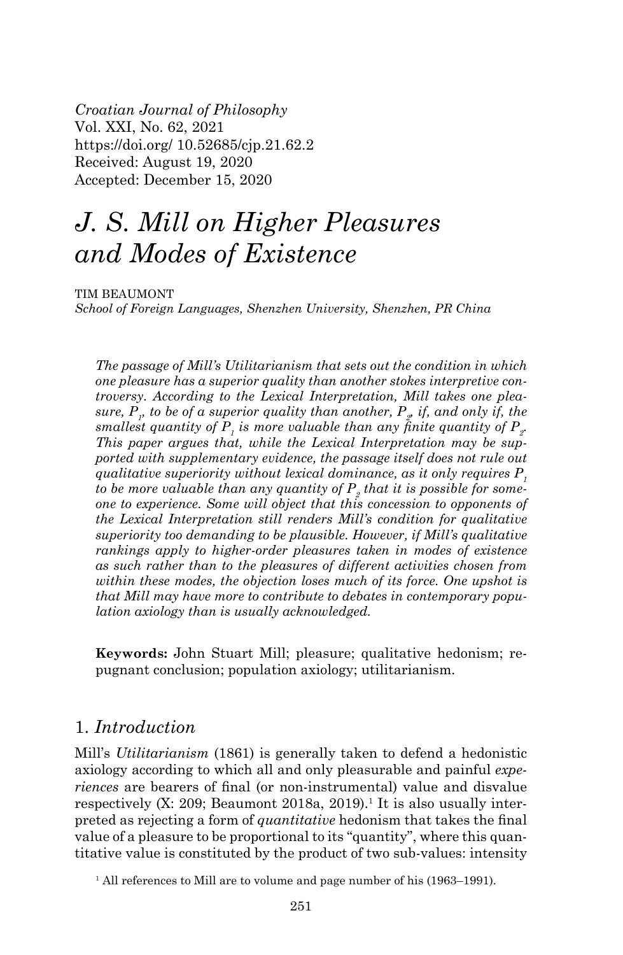*Croatian Journal of Philosophy* Vol. XXI, No. 62, 2021 https://doi.org/ 10.52685/cjp.21.62.2 Received: August 19, 2020 Accepted: December 15, 2020

# *J. S. Mill on Higher Pleasures and Modes of Existence*

TIM BEAUMONT *School of Foreign Languages, Shenzhen University, Shenzhen, PR China*

*The passage of Mill's Utilitarianism that sets out the condition in which one pleasure has a superior quality than another stokes interpretive controversy. According to the Lexical Interpretation, Mill takes one plea* $sure, P<sub>p</sub>$  to be of a superior quality than another,  $P<sub>p</sub>$  if, and only if, the smallest quantity of  $P_{_I}$  is more valuable than any finite quantity of  $P_{_2}$ . *This paper argues that, while the Lexical Interpretation may be supported with supplementary evidence, the passage itself does not rule out qualitative superiority without lexical dominance, as it only requires P<sub>1</sub>* to be more valuable than any quantity of  $P_{_2}$  that it is possible for some*one to experience. Some will object that this concession to opponents of the Lexical Interpretation still renders Mill's condition for qualitative superiority too demanding to be plausible. However, if Mill's qualitative rankings apply to higher-order pleasures taken in modes of existence as such rather than to the pleasures of different activities chosen from within these modes, the objection loses much of its force. One upshot is that Mill may have more to contribute to debates in contemporary population axiology than is usually acknowledged.*

**Keywords:** John Stuart Mill; pleasure; qualitative hedonism; repugnant conclusion; population axiology; utilitarianism.

## 1. *Introduction*

Mill's *Utilitarianism* (1861) is generally taken to defend a hedonistic axiology according to which all and only pleasurable and painful *experiences* are bearers of final (or non-instrumental) value and disvalue respectively ([X: 209](https://oll.libertyfund.org/titles/mill-the-collected-works-of-john-stuart-mill-volume-x-essays-on-ethics-religion-and-society); Beaumont 2018a, 2019).<sup>1</sup> It is also usually interpreted as rejecting a form of *quantitative* hedonism that takes the final value of a pleasure to be proportional to its "quantity", where this quantitative value is constituted by the product of two sub-values: intensity

<sup>&</sup>lt;sup>1</sup> All references to Mill are to volume and page number of his [\(1963–1991\).](https://oll.libertyfund.org/people/john-stuart-mill)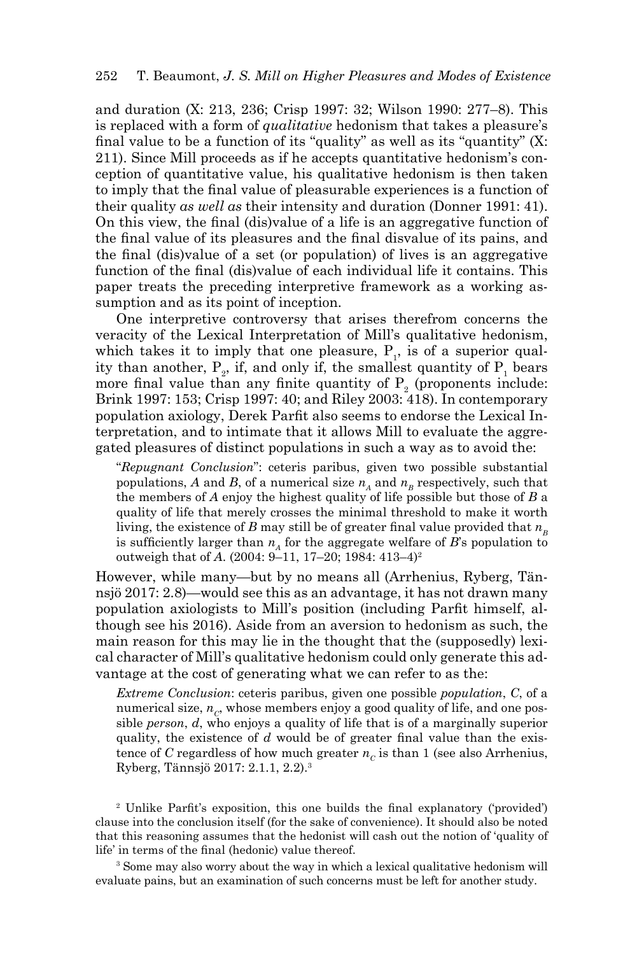and duration ([X: 213, 236](https://oll.libertyfund.org/titles/mill-the-collected-works-of-john-stuart-mill-volume-x-essays-on-ethics-religion-and-society); Crisp 1997: 32; Wilson 1990: 277–8). This is replaced with a form of *qualitative* hedonism that takes a pleasure's final value to be a function of its "quality" as well as its "quantity" ([X:](https://oll.libertyfund.org/titles/mill-the-collected-works-of-john-stuart-mill-volume-x-essays-on-ethics-religion-and-society) [211](https://oll.libertyfund.org/titles/mill-the-collected-works-of-john-stuart-mill-volume-x-essays-on-ethics-religion-and-society)). Since Mill proceeds as if he accepts quantitative hedonism's conception of quantitative value, his qualitative hedonism is then taken to imply that the final value of pleasurable experiences is a function of their quality *as well as* their intensity and duration (Donner 1991: 41). On this view, the final (dis)value of a life is an aggregative function of the final value of its pleasures and the final disvalue of its pains, and the final (dis)value of a set (or population) of lives is an aggregative function of the final (dis)value of each individual life it contains. This paper treats the preceding interpretive framework as a working assumption and as its point of inception.

One interpretive controversy that arises therefrom concerns the veracity of the Lexical Interpretation of Mill's qualitative hedonism, which takes it to imply that one pleasure,  $P_1$ , is of a superior quality than another,  $P_2$ , if, and only if, the smallest quantity of  $P_1$  bears more final value than any finite quantity of  $P_2$  (proponents include: Brink 1997: 153; Crisp 1997: 40; and Riley 2003: 418). In contemporary population axiology, Derek Parfit also seems to endorse the Lexical Interpretation, and to intimate that it allows Mill to evaluate the aggregated pleasures of distinct populations in such a way as to avoid the:

"*Repugnant Conclusion*": ceteris paribus, given two possible substantial populations, *A* and *B*, of a numerical size  $n_A$  and  $n_B$  respectively, such that the members of *A* enjoy the highest quality of life possible but those of *B* a quality of life that merely crosses the minimal threshold to make it worth living, the existence of *B* may still be of greater final value provided that  $n<sub>p</sub>$ is sufficiently larger than  $n_A$  for the aggregate welfare of  $B$ 's population to outweigh that of *A*. (2004: 9–11, 17–20; 1984: 413–4)2

However, while many—but by no means all (Arrhenius, Ryberg, [Tän](mailto:T�nnsj�)[nsjö](mailto:T�nnsj�) 2017: 2.8)—would see this as an advantage, it has not drawn many population axiologists to Mill's position (including Parfit himself, although see his 2016). Aside from an aversion to hedonism as such, the main reason for this may lie in the thought that the (supposedly) lexical character of Mill's qualitative hedonism could only generate this advantage at the cost of generating what we can refer to as the:

*Extreme Conclusion*: ceteris paribus, given one possible *population*, *C*, of a numerical size,  $n_c$ , whose members enjoy a good quality of life, and one possible *person*, *d*, who enjoys a quality of life that is of a marginally superior quality, the existence of *d* would be of greater final value than the existence of *C* regardless of how much greater  $n_c$  is than 1 (see also [Arrhenius,](mailto:Arrhenius) Ryberg, [Tännsjö](mailto:T�nnsj�) 2017: 2.1.1, 2.2).3

2 Unlike Parfit's exposition, this one builds the final explanatory ('provided') clause into the conclusion itself (for the sake of convenience). It should also be noted that this reasoning assumes that the hedonist will cash out the notion of 'quality of life' in terms of the final (hedonic) value thereof.

<sup>3</sup> Some may also worry about the way in which a lexical qualitative hedonism will evaluate pains, but an examination of such concerns must be left for another study.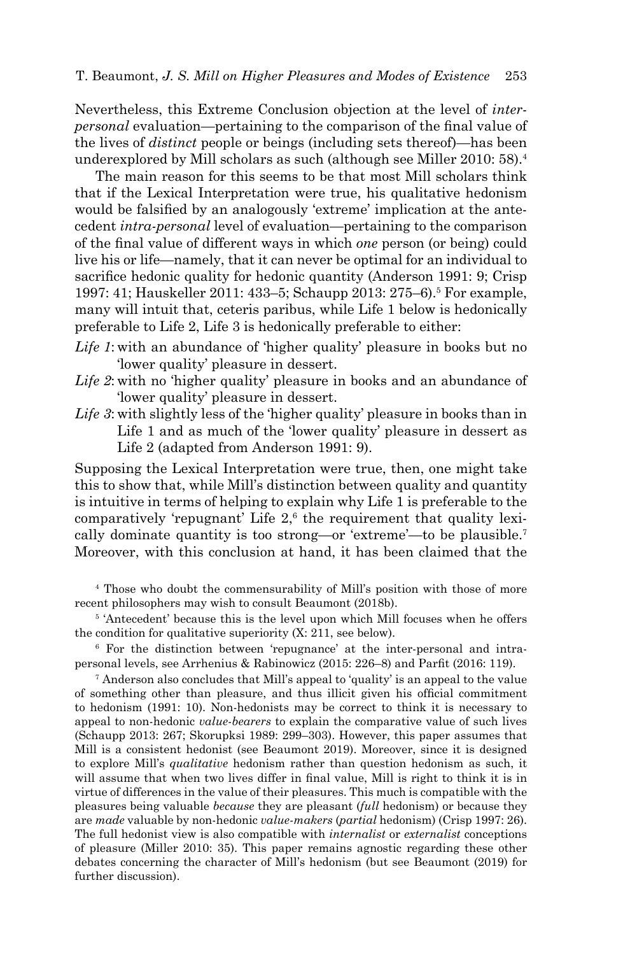Nevertheless, this Extreme Conclusion objection at the level of *interpersonal* evaluation—pertaining to the comparison of the final value of the lives of *distinct* people or beings (including sets thereof)—has been underexplored by Mill scholars as such (although see Miller 2010: 58).4

The main reason for this seems to be that most Mill scholars think that if the Lexical Interpretation were true, his qualitative hedonism would be falsified by an analogously 'extreme' implication at the antecedent *intra-personal* level of evaluation—pertaining to the comparison of the final value of different ways in which *one* person (or being) could live his or life—namely, that it can never be optimal for an individual to sacrifice hedonic quality for hedonic quantity (Anderson 1991: 9; Crisp 1997: 41; Hauskeller 2011: 433–5; Schaupp 2013: 275–6).5 For example, many will intuit that, ceteris paribus, while Life 1 below is hedonically preferable to Life 2, Life 3 is hedonically preferable to either:

- *Life 1*: with an abundance of 'higher quality' pleasure in books but no 'lower quality' pleasure in dessert.
- *Life 2*: with no 'higher quality' pleasure in books and an abundance of 'lower quality' pleasure in dessert.
- *Life 3*: with slightly less of the 'higher quality' pleasure in books than in Life 1 and as much of the 'lower quality' pleasure in dessert as Life 2 (adapted from Anderson 1991: 9).

Supposing the Lexical Interpretation were true, then, one might take this to show that, while Mill's distinction between quality and quantity is intuitive in terms of helping to explain why Life 1 is preferable to the comparatively 'repugnant' Life 2,<sup>6</sup> the requirement that quality lexically dominate quantity is too strong—or 'extreme'—to be plausible.7 Moreover, with this conclusion at hand, it has been claimed that the

4 Those who doubt the commensurability of Mill's position with those of more recent philosophers may wish to consult Beaumont (2018b).

<sup>5</sup> 'Antecedent' because this is the level upon which Mill focuses when he offers the condition for qualitative superiority (X: 211, see below).

6 For the distinction between 'repugnance' at the inter-personal and intrapersonal levels, see Arrhenius & Rabinowicz (2015: 226–8) and Parfit (2016: 119).

7 Anderson also concludes that Mill's appeal to 'quality' is an appeal to the value of something other than pleasure, and thus illicit given his official commitment to hedonism (1991: 10). Non-hedonists may be correct to think it is necessary to appeal to non-hedonic *value-bearers* to explain the comparative value of such lives (Schaupp 2013: 267; Skorupksi 1989: 299–303). However, this paper assumes that Mill is a consistent hedonist (see Beaumont 2019). Moreover, since it is designed to explore Mill's *qualitative* hedonism rather than question hedonism as such, it will assume that when two lives differ in final value, Mill is right to think it is in virtue of differences in the value of their pleasures. This much is compatible with the pleasures being valuable *because* they are pleasant (*full* hedonism) or because they are *made* valuable by non-hedonic *value-makers* (*partial* hedonism) (Crisp 1997: 26). The full hedonist view is also compatible with *internalist* or *externalist* conceptions of pleasure (Miller 2010: 35). This paper remains agnostic regarding these other debates concerning the character of Mill's hedonism (but see Beaumont (2019) for further discussion).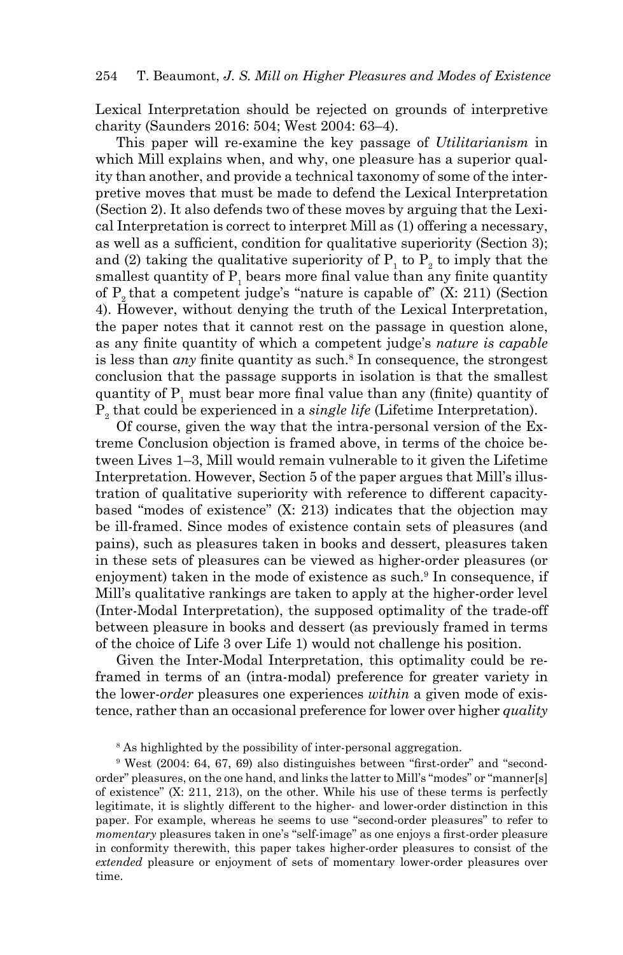Lexical Interpretation should be rejected on grounds of interpretive charity (Saunders 2016: 504; West 2004: 63–4).

This paper will re-examine the key passage of *Utilitarianism* in which Mill explains when, and why, one pleasure has a superior quality than another, and provide a technical taxonomy of some of the interpretive moves that must be made to defend the Lexical Interpretation (Section 2). It also defends two of these moves by arguing that the Lexical Interpretation is correct to interpret Mill as (1) offering a necessary, as well as a sufficient, condition for qualitative superiority (Section 3); and (2) taking the qualitative superiority of  $P_1$  to  $P_2$  to imply that the smallest quantity of  $P_1$  bears more final value than any finite quantity of  $P_{\alpha}$  that a competent judge's "nature is capable of" (X: 211) (Section 4). However, without denying the truth of the Lexical Interpretation, the paper notes that it cannot rest on the passage in question alone, as any finite quantity of which a competent judge's *nature is capable* is less than *any* finite quantity as such.<sup>8</sup> In consequence, the strongest conclusion that the passage supports in isolation is that the smallest quantity of  $P_1$  must bear more final value than any (finite) quantity of P2 that could be experienced in a *single life* (Lifetime Interpretation).

Of course, given the way that the intra-personal version of the Extreme Conclusion objection is framed above, in terms of the choice between Lives 1–3, Mill would remain vulnerable to it given the Lifetime Interpretation. However, Section 5 of the paper argues that Mill's illustration of qualitative superiority with reference to different capacitybased "modes of existence" (X: 213) indicates that the objection may be ill-framed. Since modes of existence contain sets of pleasures (and pains), such as pleasures taken in books and dessert, pleasures taken in these sets of pleasures can be viewed as higher-order pleasures (or enjoyment) taken in the mode of existence as such.<sup>9</sup> In consequence, if Mill's qualitative rankings are taken to apply at the higher-order level (Inter-Modal Interpretation), the supposed optimality of the trade-off between pleasure in books and dessert (as previously framed in terms of the choice of Life 3 over Life 1) would not challenge his position.

Given the Inter-Modal Interpretation, this optimality could be reframed in terms of an (intra-modal) preference for greater variety in the lower-*order* pleasures one experiences *within* a given mode of existence, rather than an occasional preference for lower over higher *quality* 

8 As highlighted by the possibility of inter-personal aggregation.

9 West (2004: 64, 67, 69) also distinguishes between "first-order" and "secondorder" pleasures, on the one hand, and links the latter to Mill's "modes" or "manner[s] of existence" (X: 211, 213), on the other. While his use of these terms is perfectly legitimate, it is slightly different to the higher- and lower-order distinction in this paper. For example, whereas he seems to use "second-order pleasures" to refer to *momentary* pleasures taken in one's "self-image" as one enjoys a first-order pleasure in conformity therewith, this paper takes higher-order pleasures to consist of the *extended* pleasure or enjoyment of sets of momentary lower-order pleasures over time.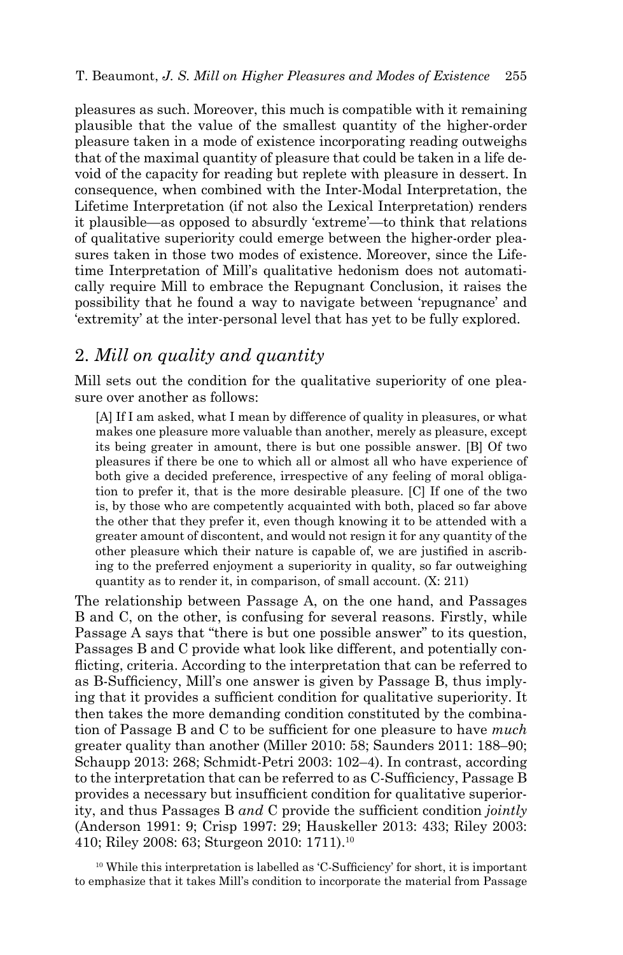pleasures as such. Moreover, this much is compatible with it remaining plausible that the value of the smallest quantity of the higher-order pleasure taken in a mode of existence incorporating reading outweighs that of the maximal quantity of pleasure that could be taken in a life devoid of the capacity for reading but replete with pleasure in dessert. In consequence, when combined with the Inter-Modal Interpretation, the Lifetime Interpretation (if not also the Lexical Interpretation) renders it plausible—as opposed to absurdly 'extreme'—to think that relations of qualitative superiority could emerge between the higher-order pleasures taken in those two modes of existence. Moreover, since the Lifetime Interpretation of Mill's qualitative hedonism does not automatically require Mill to embrace the Repugnant Conclusion, it raises the possibility that he found a way to navigate between 'repugnance' and 'extremity' at the inter-personal level that has yet to be fully explored.

# 2. *Mill on quality and quantity*

Mill sets out the condition for the qualitative superiority of one pleasure over another as follows:

[A] If I am asked, what I mean by difference of quality in pleasures, or what makes one pleasure more valuable than another, merely as pleasure, except its being greater in amount, there is but one possible answer. [B] Of two pleasures if there be one to which all or almost all who have experience of both give a decided preference, irrespective of any feeling of moral obligation to prefer it, that is the more desirable pleasure. [C] If one of the two is, by those who are competently acquainted with both, placed so far above the other that they prefer it, even though knowing it to be attended with a greater amount of discontent, and would not resign it for any quantity of the other pleasure which their nature is capable of, we are justified in ascribing to the preferred enjoyment a superiority in quality, so far outweighing quantity as to render it, in comparison, of small account. [\(X: 211\)](https://oll.libertyfund.org/titles/mill-the-collected-works-of-john-stuart-mill-volume-x-essays-on-ethics-religion-and-society)

The relationship between Passage A, on the one hand, and Passages B and C, on the other, is confusing for several reasons. Firstly, while Passage A says that "there is but one possible answer" to its question, Passages B and C provide what look like different, and potentially conflicting, criteria. According to the interpretation that can be referred to as B-Sufficiency, Mill's one answer is given by Passage B, thus implying that it provides a sufficient condition for qualitative superiority. It then takes the more demanding condition constituted by the combination of Passage B and C to be sufficient for one pleasure to have *much*  greater quality than another (Miller 2010: 58; Saunders 2011: 188–90; Schaupp 2013: 268; Schmidt-Petri 2003: 102–4). In contrast, according to the interpretation that can be referred to as C-Sufficiency, Passage B provides a necessary but insufficient condition for qualitative superiority, and thus Passages B *and* C provide the sufficient condition *jointly* (Anderson 1991: 9; Crisp 1997: 29; Hauskeller 2013: 433; Riley 2003: 410; Riley 2008: 63; Sturgeon 2010: 1711).10

<sup>10</sup> While this interpretation is labelled as 'C-Sufficiency' for short, it is important to emphasize that it takes Mill's condition to incorporate the material from Passage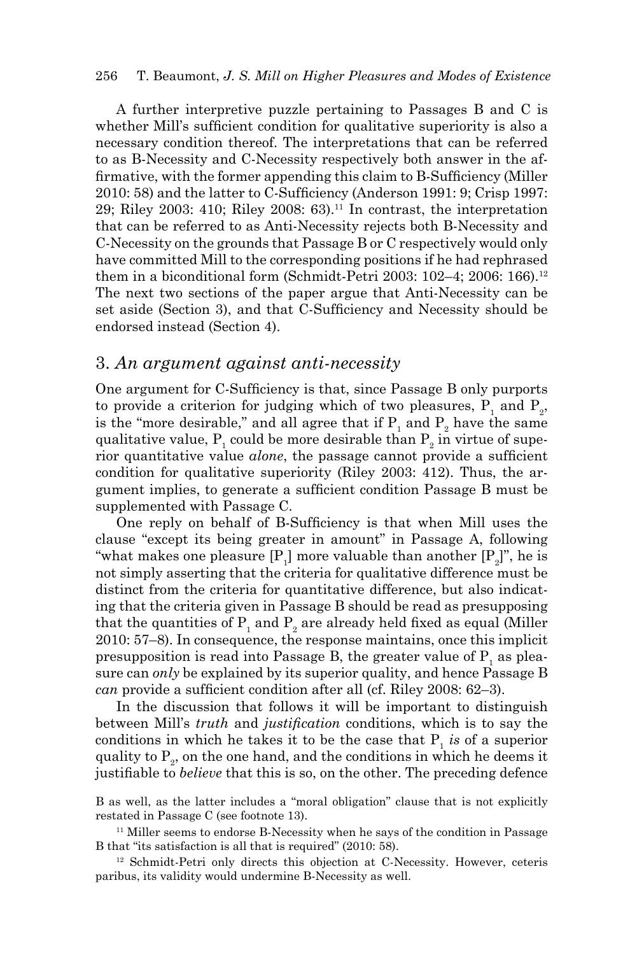A further interpretive puzzle pertaining to Passages B and C is whether Mill's sufficient condition for qualitative superiority is also a necessary condition thereof. The interpretations that can be referred to as B-Necessity and C-Necessity respectively both answer in the affirmative, with the former appending this claim to B-Sufficiency (Miller 2010: 58) and the latter to C-Sufficiency (Anderson 1991: 9; Crisp 1997: 29; Riley 2003: 410; Riley 2008: 63).11 In contrast, the interpretation that can be referred to as Anti-Necessity rejects both B-Necessity and C-Necessity on the grounds that Passage B or C respectively would only have committed Mill to the corresponding positions if he had rephrased them in a biconditional form (Schmidt-Petri 2003:  $102-4$ ; 2006:  $166$ ).<sup>12</sup> The next two sections of the paper argue that Anti-Necessity can be set aside (Section 3), and that C-Sufficiency and Necessity should be endorsed instead (Section 4).

### 3. *An argument against anti-necessity*

One argument for C-Sufficiency is that, since Passage B only purports to provide a criterion for judging which of two pleasures,  $P_1$  and  $P_2$ , is the "more desirable," and all agree that if  $P_1$  and  $P_2$  have the same qualitative value,  $\mathrm{P_{_1}}$  could be more desirable than  $\mathrm{P_{_2}}$  in virtue of superior quantitative value *alone*, the passage cannot provide a sufficient condition for qualitative superiority (Riley 2003: 412). Thus, the argument implies, to generate a sufficient condition Passage B must be supplemented with Passage C.

One reply on behalf of B-Sufficiency is that when Mill uses the clause "except its being greater in amount" in Passage A, following "what makes one pleasure  $[P_1]$  more valuable than another  $[P_2]^{\prime\prime}$ , he is not simply asserting that the criteria for qualitative difference must be distinct from the criteria for quantitative difference, but also indicating that the criteria given in Passage B should be read as presupposing that the quantities of  $\text{P}_{\text{\tiny{1}}}$  and  $\text{P}_{\text{\tiny{2}}}$  are already held fixed as equal (Miller 2010: 57–8). In consequence, the response maintains, once this implicit presupposition is read into Passage B, the greater value of  $P_1$  as pleasure can *only* be explained by its superior quality, and hence Passage B *can* provide a sufficient condition after all (cf. Riley 2008: 62–3).

In the discussion that follows it will be important to distinguish between Mill's *truth* and *justification* conditions, which is to say the conditions in which he takes it to be the case that  $P_1$  *is* of a superior quality to  $P_2$ , on the one hand, and the conditions in which he deems it justifiable to *believe* that this is so, on the other. The preceding defence

B as well, as the latter includes a "moral obligation" clause that is not explicitly restated in Passage C (see footnote 13).

<sup>11</sup> Miller seems to endorse B-Necessity when he says of the condition in Passage B that "its satisfaction is all that is required" (2010: 58).

<sup>12</sup> Schmidt-Petri only directs this objection at C-Necessity. However, ceteris paribus, its validity would undermine B-Necessity as well.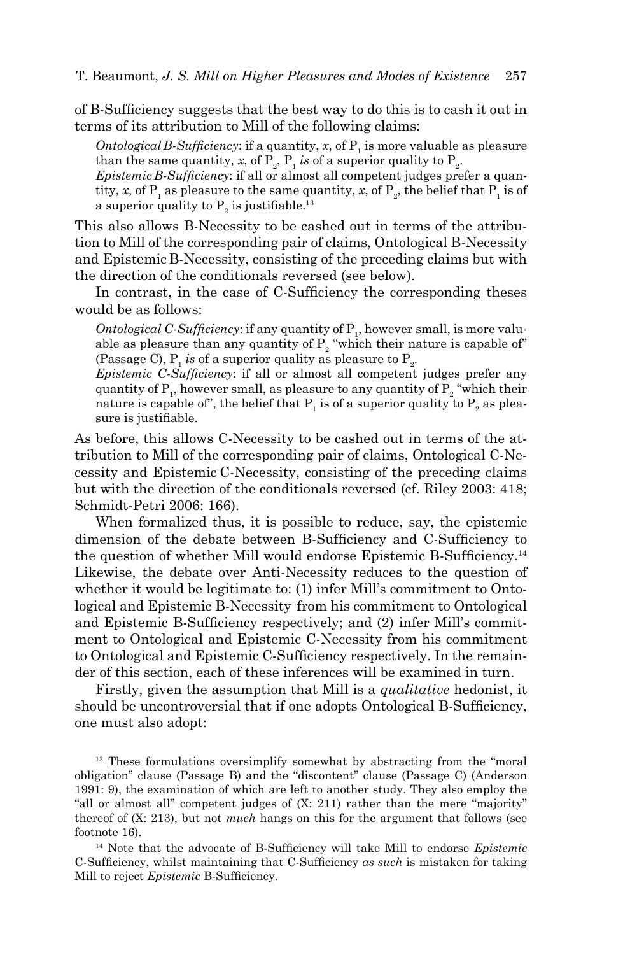of B-Sufficiency suggests that the best way to do this is to cash it out in terms of its attribution to Mill of the following claims:

*Ontological B-Sufficiency*: if a quantity,  $x$ , of  $P_1$  is more valuable as pleasure than the same quantity, *x*, of  $P_{_2}$ ,  $P_{_1}$  *is* of a superior quality to  $P_{_2}$ .

*Epistemic B-Sufficiency*: if all or almost all competent judges prefer a quantity, *x*, of  $P_1$  as pleasure to the same quantity, *x*, of  $P_2$ , the belief that  $P_1$  is of a superior quality to  $P_2$  is justifiable.<sup>13</sup>

This also allows B-Necessity to be cashed out in terms of the attribution to Mill of the corresponding pair of claims, Ontological B-Necessity and Epistemic B-Necessity, consisting of the preceding claims but with the direction of the conditionals reversed (see below).

In contrast, in the case of C-Sufficiency the corresponding theses would be as follows:

*Ontological C-Sufficiency*: if any quantity of  $P_1$ , however small, is more valuable as pleasure than any quantity of  $P_2$  "which their nature is capable of" (Passage C),  $P_1$  *is* of a superior quality as pleasure to  $P_2$ .

*Epistemic C-Sufficiency*: if all or almost all competent judges prefer any quantity of  $P_1$ , however small, as pleasure to any quantity of  $P_2$  "which their nature is capable of", the belief that  $\mathrm{P_{1}}$  is of a superior quality to  $\mathrm{P_{2}}$  as pleasure is justifiable.

As before, this allows C-Necessity to be cashed out in terms of the attribution to Mill of the corresponding pair of claims, Ontological C-Necessity and Epistemic C-Necessity, consisting of the preceding claims but with the direction of the conditionals reversed (cf. Riley 2003: 418; Schmidt-Petri 2006: 166).

When formalized thus, it is possible to reduce, say, the epistemic dimension of the debate between B-Sufficiency and C-Sufficiency to the question of whether Mill would endorse Epistemic B-Sufficiency.<sup>14</sup> Likewise, the debate over Anti-Necessity reduces to the question of whether it would be legitimate to: (1) infer Mill's commitment to Ontological and Epistemic B-Necessity from his commitment to Ontological and Epistemic B-Sufficiency respectively; and (2) infer Mill's commitment to Ontological and Epistemic C-Necessity from his commitment to Ontological and Epistemic C-Sufficiency respectively. In the remainder of this section, each of these inferences will be examined in turn.

Firstly, given the assumption that Mill is a *qualitative* hedonist, it should be uncontroversial that if one adopts Ontological B-Sufficiency, one must also adopt:

<sup>13</sup> These formulations oversimplify somewhat by abstracting from the "moral" obligation" clause (Passage B) and the "discontent" clause (Passage C) (Anderson 1991: 9), the examination of which are left to another study. They also employ the "all or almost all" competent judges of [\(X: 211](https://oll.libertyfund.org/titles/mill-the-collected-works-of-john-stuart-mill-volume-x-essays-on-ethics-religion-and-society)) rather than the mere "majority" thereof of [\(X: 213](https://oll.libertyfund.org/titles/mill-the-collected-works-of-john-stuart-mill-volume-x-essays-on-ethics-religion-and-society)), but not *much* hangs on this for the argument that follows (see footnote 16).

<sup>14</sup> Note that the advocate of B-Sufficiency will take Mill to endorse *Epistemic*  C-Sufficiency, whilst maintaining that C-Sufficiency *as such* is mistaken for taking Mill to reject *Epistemic* B-Sufficiency.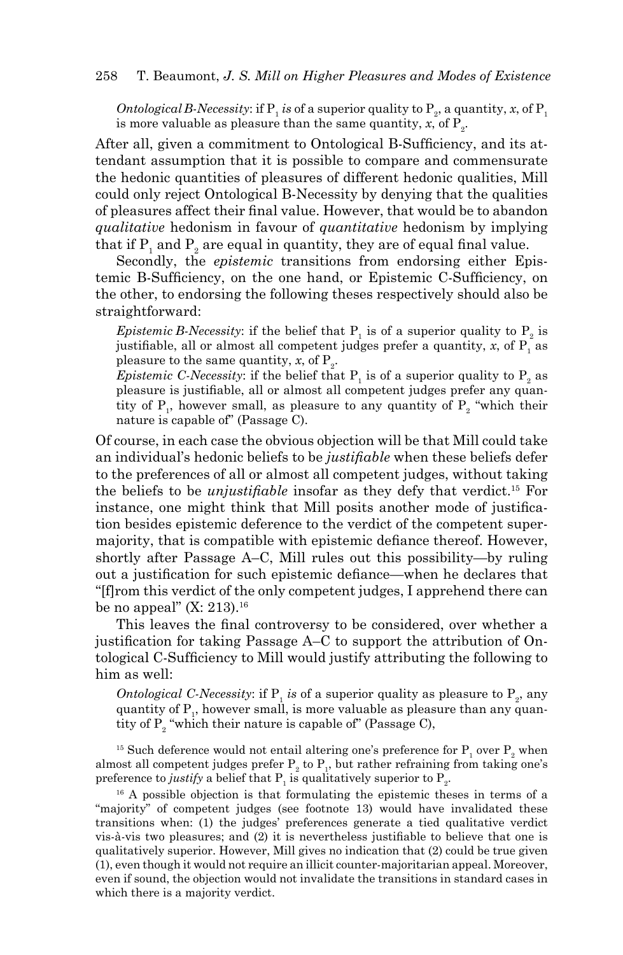*Ontological B-Necessity:* if  $P_1$  *is* of a superior quality to  $P_2$ , a quantity, *x*, of  $P_1$ is more valuable as pleasure than the same quantity,  $x$ , of  $P_2$ .

After all, given a commitment to Ontological B-Sufficiency, and its attendant assumption that it is possible to compare and commensurate the hedonic quantities of pleasures of different hedonic qualities, Mill could only reject Ontological B-Necessity by denying that the qualities of pleasures affect their final value. However, that would be to abandon *qualitative* hedonism in favour of *quantitative* hedonism by implying that if  $\mathrm{P}_\mathrm{1}$  and  $\mathrm{P}_\mathrm{2}$  are equal in quantity, they are of equal final value.

Secondly, the *epistemic* transitions from endorsing either Epistemic B-Sufficiency, on the one hand, or Epistemic C-Sufficiency, on the other, to endorsing the following theses respectively should also be straightforward:

*Epistemic B-Necessity*: if the belief that  $P_1$  is of a superior quality to  $P_2$  is justifiable, all or almost all competent judges prefer a quantity,  $x$ , of  $P_1$  as pleasure to the same quantity, *x*, of  $P_2$ .

*Epistemic C-Necessity*: if the belief that  $P_1$  is of a superior quality to  $P_2$  as pleasure is justifiable, all or almost all competent judges prefer any quantity of  $P_1$ , however small, as pleasure to any quantity of  $P_2$  "which their nature is capable of" (Passage C).

Of course, in each case the obvious objection will be that Mill could take an individual's hedonic beliefs to be *justifiable* when these beliefs defer to the preferences of all or almost all competent judges, without taking the beliefs to be *unjustifiable* insofar as they defy that verdict.15 For instance, one might think that Mill posits another mode of justification besides epistemic deference to the verdict of the competent supermajority, that is compatible with epistemic defiance thereof. However, shortly after Passage A–C, Mill rules out this possibility—by ruling out a justification for such epistemic defiance—when he declares that "[f]rom this verdict of the only competent judges, I apprehend there can be no appeal" ([X: 213\)](https://oll.libertyfund.org/titles/mill-the-collected-works-of-john-stuart-mill-volume-x-essays-on-ethics-religion-and-society).<sup>16</sup>

This leaves the final controversy to be considered, over whether a justification for taking Passage A–C to support the attribution of Ontological C-Sufficiency to Mill would justify attributing the following to him as well:

*Ontological C-Necessity*: if  $P_1$  *is* of a superior quality as pleasure to  $P_2$ , any quantity of  $P_1$ , however small, is more valuable as pleasure than any quantity of  $P_2$  "which their nature is capable of" (Passage C),

<sup>15</sup> Such deference would not entail altering one's preference for  $P_1$  over  $P_2$  when almost all competent judges prefer  $P_2$  to  $P_1$ , but rather refraining from taking one's preference to *justify* a belief that  $P_1$  is qualitatively superior to  $P_2$ .

<sup>16</sup> A possible objection is that formulating the epistemic theses in terms of a "majority" of competent judges (see footnote 13) would have invalidated these transitions when: (1) the judges' preferences generate a tied qualitative verdict vis-à-vis two pleasures; and (2) it is nevertheless justifiable to believe that one is qualitatively superior. However, Mill gives no indication that (2) could be true given (1), even though it would not require an illicit counter-majoritarian appeal. Moreover, even if sound, the objection would not invalidate the transitions in standard cases in which there is a majority verdict.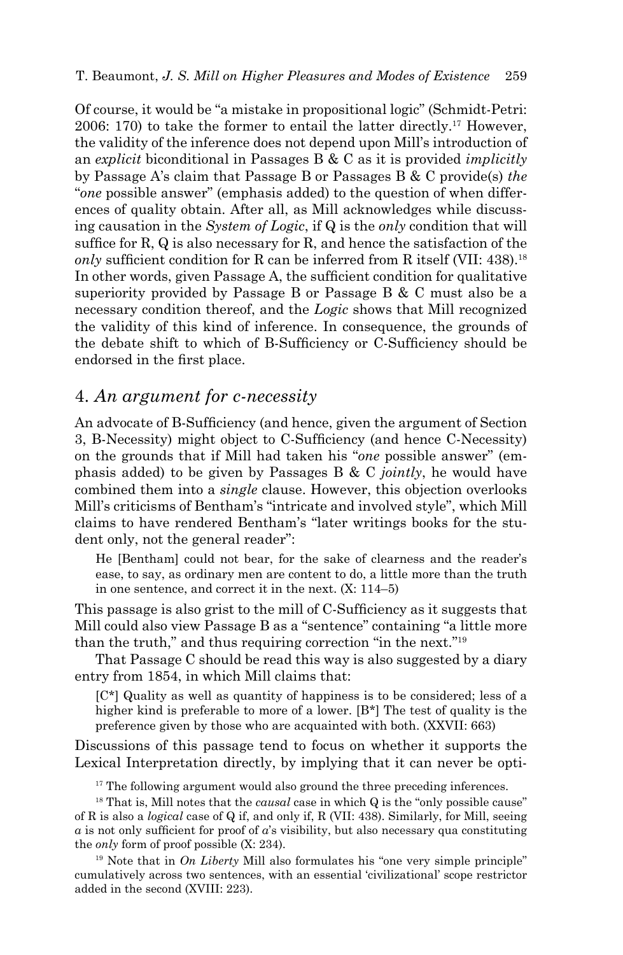Of course, it would be "a mistake in propositional logic" (Schmidt-Petri: 2006: 170) to take the former to entail the latter directly.17 However, the validity of the inference does not depend upon Mill's introduction of an *explicit* biconditional in Passages B & C as it is provided *implicitly* by Passage A's claim that Passage B or Passages B & C provide(s) *the* "*one* possible answer" (emphasis added) to the question of when differences of quality obtain. After all, as Mill acknowledges while discussing causation in the *System of Logic*, if Q is the *only* condition that will suffice for R, Q is also necessary for R, and hence the satisfaction of the *only* sufficient condition for R can be inferred from R itself ([VII: 438](https://oll.libertyfund.org/titles/mill-the-collected-works-of-john-stuart-mill-volume-vii-a-system-of-logic-part-i)).<sup>18</sup> In other words, given Passage A, the sufficient condition for qualitative superiority provided by Passage B or Passage B & C must also be a necessary condition thereof, and the *Logic* shows that Mill recognized the validity of this kind of inference. In consequence, the grounds of the debate shift to which of B-Sufficiency or C-Sufficiency should be endorsed in the first place.

# 4. *An argument for c-necessity*

An advocate of B-Sufficiency (and hence, given the argument of Section 3, B-Necessity) might object to C-Sufficiency (and hence C-Necessity) on the grounds that if Mill had taken his "*one* possible answer" (emphasis added) to be given by Passages B & C *jointly*, he would have combined them into a *single* clause. However, this objection overlooks Mill's criticisms of Bentham's "intricate and involved style", which Mill claims to have rendered Bentham's "later writings books for the student only, not the general reader":

He [Bentham] could not bear, for the sake of clearness and the reader's ease, to say, as ordinary men are content to do, a little more than the truth in one sentence, and correct it in the next. [\(X: 114–5\)](https://oll.libertyfund.org/titles/mill-the-collected-works-of-john-stuart-mill-volume-x-essays-on-ethics-religion-and-society)

This passage is also grist to the mill of C-Sufficiency as it suggests that Mill could also view Passage B as a "sentence" containing "a little more than the truth," and thus requiring correction "in the next."19

That Passage C should be read this way is also suggested by a diary entry from 1854, in which Mill claims that:

[C\*] Quality as well as quantity of happiness is to be considered; less of a higher kind is preferable to more of a lower. [B\*] The test of quality is the preference given by those who are acquainted with both. ([XXVII: 663\)](https://oll.libertyfund.org/titles/mill-the-collected-works-of-john-stuart-mill-volume-xxvii-journals-and-debating-speeches-part-ii)

Discussions of this passage tend to focus on whether it supports the Lexical Interpretation directly, by implying that it can never be opti-

<sup>17</sup> The following argument would also ground the three preceding inferences.

<sup>18</sup> That is, Mill notes that the *causal* case in which Q is the "only possible cause" of R is also a *logical* case of Q if, and only if, R ([VII: 438\)](https://oll.libertyfund.org/titles/mill-the-collected-works-of-john-stuart-mill-volume-vii-a-system-of-logic-part-i). Similarly, for Mill, seeing *α* is not only sufficient for proof of *α*'s visibility, but also necessary qua constituting the *only* form of proof possible ([X: 234](https://oll.libertyfund.org/titles/mill-the-collected-works-of-john-stuart-mill-volume-x-essays-on-ethics-religion-and-society)).

19 Note that in *On Liberty* Mill also formulates his "one very simple principle" cumulatively across two sentences, with an essential 'civilizational' scope restrictor added in the second (XVIII: 223).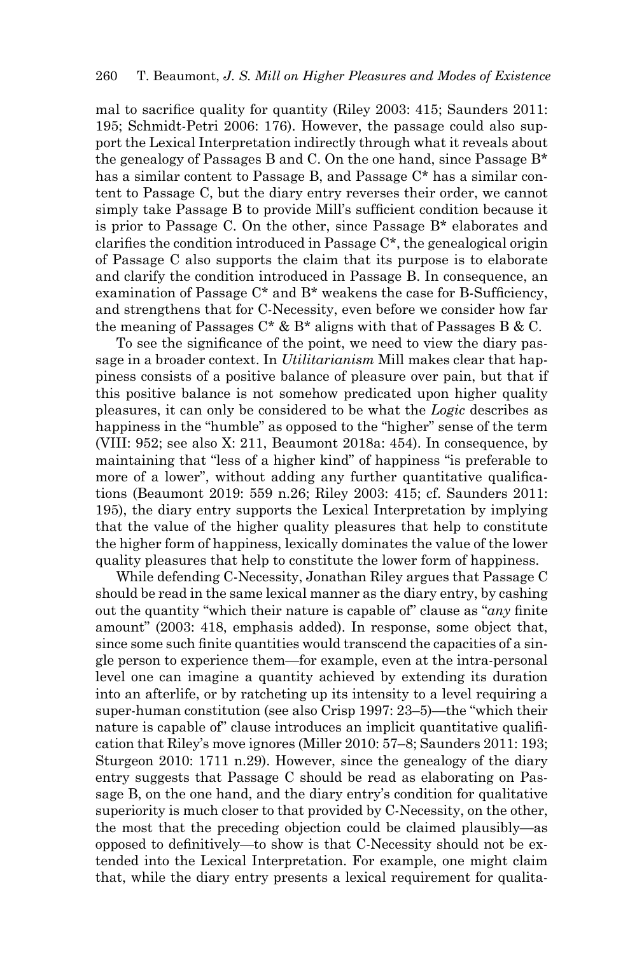mal to sacrifice quality for quantity (Riley 2003: 415; Saunders 2011: 195; Schmidt-Petri 2006: 176). However, the passage could also support the Lexical Interpretation indirectly through what it reveals about the genealogy of Passages B and C. On the one hand, since Passage B\* has a similar content to Passage B, and Passage C\* has a similar content to Passage C, but the diary entry reverses their order, we cannot simply take Passage B to provide Mill's sufficient condition because it is prior to Passage C. On the other, since Passage B\* elaborates and clarifies the condition introduced in Passage C\*, the genealogical origin of Passage C also supports the claim that its purpose is to elaborate and clarify the condition introduced in Passage B. In consequence, an examination of Passage C\* and B\* weakens the case for B-Sufficiency, and strengthens that for C-Necessity, even before we consider how far the meaning of Passages  $C^* \& B^*$  aligns with that of Passages B & C.

To see the significance of the point, we need to view the diary passage in a broader context. In *Utilitarianism* Mill makes clear that happiness consists of a positive balance of pleasure over pain, but that if this positive balance is not somehow predicated upon higher quality pleasures, it can only be considered to be what the *Logic* describes as happiness in the "humble" as opposed to the "higher" sense of the term [\(VIII: 952](https://oll.libertyfund.org/titles/mill-the-collected-works-of-john-stuart-mill-volume-viii-a-system-of-logic-part-ii); see also [X: 211,](https://oll.libertyfund.org/titles/mill-the-collected-works-of-john-stuart-mill-volume-x-essays-on-ethics-religion-and-society) Beaumont 2018a: 454). In consequence, by maintaining that "less of a higher kind" of happiness "is preferable to more of a lower", without adding any further quantitative qualifications (Beaumont 2019: 559 n.26; Riley 2003: 415; cf. Saunders 2011: 195), the diary entry supports the Lexical Interpretation by implying that the value of the higher quality pleasures that help to constitute the higher form of happiness, lexically dominates the value of the lower quality pleasures that help to constitute the lower form of happiness.

While defending C-Necessity, Jonathan Riley argues that Passage C should be read in the same lexical manner as the diary entry, by cashing out the quantity "which their nature is capable of" clause as "*any* finite amount" (2003: 418, emphasis added). In response, some object that, since some such finite quantities would transcend the capacities of a single person to experience them—for example, even at the intra-personal level one can imagine a quantity achieved by extending its duration into an afterlife, or by ratcheting up its intensity to a level requiring a super-human constitution (see also Crisp 1997: 23–5)—the "which their nature is capable of" clause introduces an implicit quantitative qualification that Riley's move ignores (Miller 2010: 57–8; Saunders 2011: 193; Sturgeon 2010: 1711 n.29). However, since the genealogy of the diary entry suggests that Passage C should be read as elaborating on Passage B, on the one hand, and the diary entry's condition for qualitative superiority is much closer to that provided by C-Necessity, on the other, the most that the preceding objection could be claimed plausibly—as opposed to definitively—to show is that C-Necessity should not be extended into the Lexical Interpretation. For example, one might claim that, while the diary entry presents a lexical requirement for qualita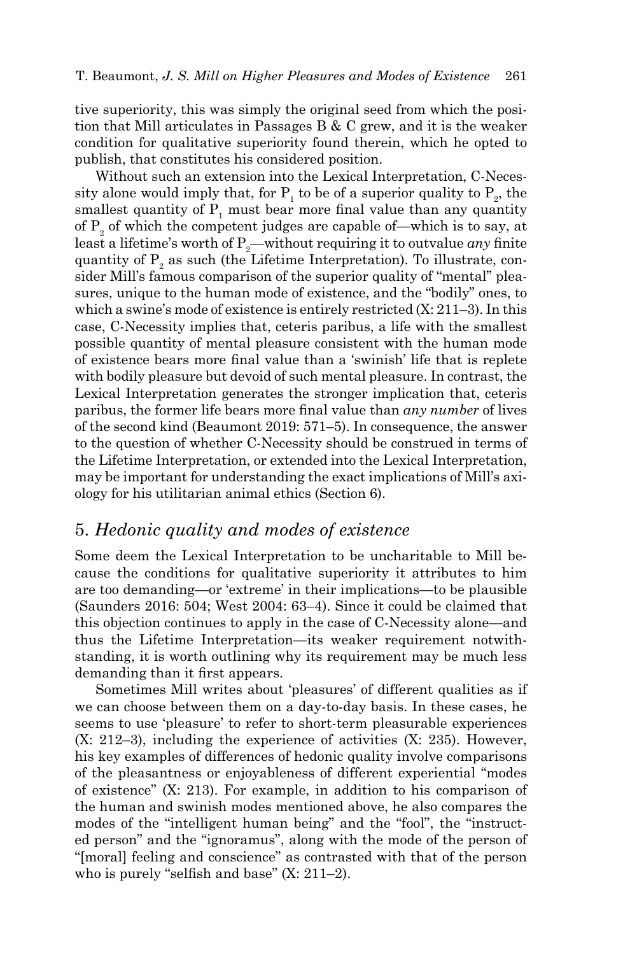tive superiority, this was simply the original seed from which the position that Mill articulates in Passages B & C grew, and it is the weaker condition for qualitative superiority found therein, which he opted to publish, that constitutes his considered position.

Without such an extension into the Lexical Interpretation, C-Necessity alone would imply that, for  $P_1$  to be of a superior quality to  $P_2$ , the smallest quantity of  $P_1$  must bear more final value than any quantity of  $P_2$  of which the competent judges are capable of—which is to say, at least a lifetime's worth of  $P_2$ —without requiring it to outvalue *any* finite quantity of  $P_2$  as such (the Lifetime Interpretation). To illustrate, consider Mill's famous comparison of the superior quality of "mental" pleasures, unique to the human mode of existence, and the "bodily" ones, to which a swine's mode of existence is entirely restricted  $(X: 211-3)$ . In this case, C-Necessity implies that, ceteris paribus, a life with the smallest possible quantity of mental pleasure consistent with the human mode of existence bears more final value than a 'swinish' life that is replete with bodily pleasure but devoid of such mental pleasure. In contrast, the Lexical Interpretation generates the stronger implication that, ceteris paribus, the former life bears more final value than *any number* of lives of the second kind (Beaumont 2019: 571–5). In consequence, the answer to the question of whether C-Necessity should be construed in terms of the Lifetime Interpretation, or extended into the Lexical Interpretation, may be important for understanding the exact implications of Mill's axiology for his utilitarian animal ethics (Section 6).

### 5. *Hedonic quality and modes of existence*

Some deem the Lexical Interpretation to be uncharitable to Mill because the conditions for qualitative superiority it attributes to him are too demanding—or 'extreme' in their implications—to be plausible (Saunders 2016: 504; West 2004: 63–4). Since it could be claimed that this objection continues to apply in the case of C-Necessity alone—and thus the Lifetime Interpretation—its weaker requirement notwithstanding, it is worth outlining why its requirement may be much less demanding than it first appears.

Sometimes Mill writes about 'pleasures' of different qualities as if we can choose between them on a day-to-day basis. In these cases, he seems to use 'pleasure' to refer to short-term pleasurable experiences (X: 212–3), including the experience of activities (X: 235). However, his key examples of differences of hedonic quality involve comparisons of the pleasantness or enjoyableness of different experiential "modes of existence" (X: 213). For example, in addition to his comparison of the human and swinish modes mentioned above, he also compares the modes of the "intelligent human being" and the "fool", the "instructed person" and the "ignoramus", along with the mode of the person of "[moral] feeling and conscience" as contrasted with that of the person who is purely "selfish and base" ([X: 211–2\)](file://D:\KINGSTON\Mill\Higher%20Pains,%20Evidence%20&%20Objections\Fourth%20Edition\The%20first%20reason%20for%20answering%20in%20the%20negative%20stems%20from%20the%20fact%20that%20the%20test%20in%20the%20Logic%20is%20broad%20enough%20to%20evidence%20differences%20of%20�quality�%20in%20a%20non-evaluative%20sense%20of%20the%20term%20(from%20here%20on%20quality-L),%20in%20which%20two%20qualities%20can%20be%20said%20to%20differ%20without%20this%20necessarily%20implying%20that%20one%20is%20superior%20to%20the%20other.%20For%20instance,%20two%20sensory%20experiences,%20such%20as%20drinking%20equal%20quantities%20of%20water%20and%20wine,%20could%20reveal%20them%20to%20have%20different%20phenomenological%20properties%20without%20revealing%20one%20to%20be%20more%20desirable%20or%20valuable%20than%20the%20other.%20Indeed,%20for%20Mill,%20sensations%20need%20not%20be%20pleasurable%20or%20painful%20at%20all,%20as%20they%20can%20be%20also%20be%20).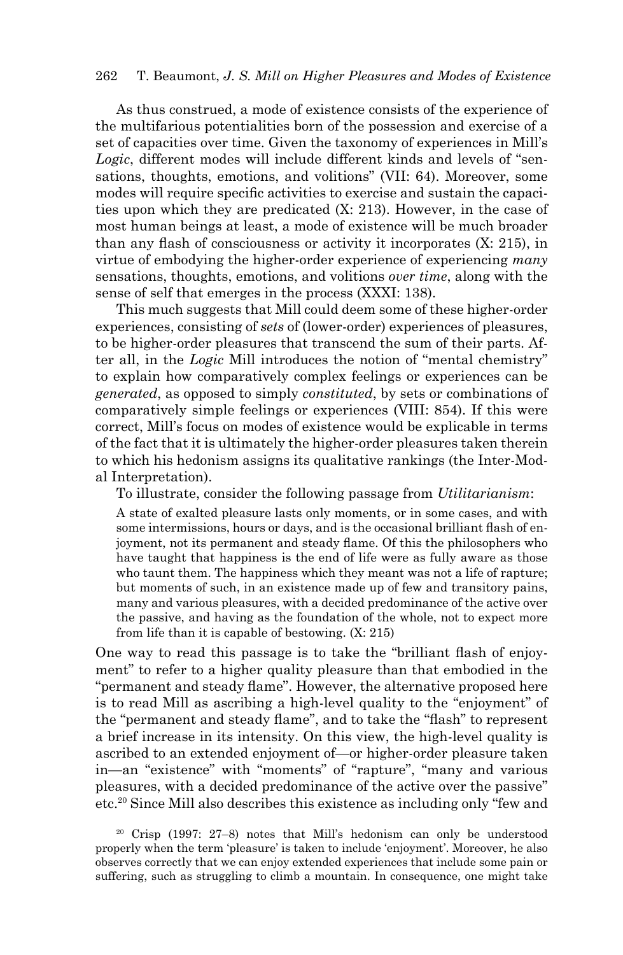As thus construed, a mode of existence consists of the experience of the multifarious potentialities born of the possession and exercise of a set of capacities over time. Given the taxonomy of experiences in Mill's *Logic*, different modes will include different kinds and levels of "sensations, thoughts, emotions, and volitions" (VII: 64). Moreover, some modes will require specific activities to exercise and sustain the capacities upon which they are predicated (X: 213). However, in the case of most human beings at least, a mode of existence will be much broader than any flash of consciousness or activity it incorporates (X: 215), in virtue of embodying the higher-order experience of experiencing *many* sensations, thoughts, emotions, and volitions *over time*, along with the sense of self that emerges in the process (XXXI: 138).

This much suggests that Mill could deem some of these higher-order experiences, consisting of *sets* of (lower-order) experiences of pleasures, to be higher-order pleasures that transcend the sum of their parts. After all, in the *Logic* Mill introduces the notion of "mental chemistry" to explain how comparatively complex feelings or experiences can be *generated*, as opposed to simply *constituted*, by sets or combinations of comparatively simple feelings or experiences (VIII: 854). If this were correct, Mill's focus on modes of existence would be explicable in terms of the fact that it is ultimately the higher-order pleasures taken therein to which his hedonism assigns its qualitative rankings (the Inter-Modal Interpretation).

To illustrate, consider the following passage from *Utilitarianism*:

A state of exalted pleasure lasts only moments, or in some cases, and with some intermissions, hours or days, and is the occasional brilliant flash of enjoyment, not its permanent and steady flame. Of this the philosophers who have taught that happiness is the end of life were as fully aware as those who taunt them. The happiness which they meant was not a life of rapture; but moments of such, in an existence made up of few and transitory pains, many and various pleasures, with a decided predominance of the active over the passive, and having as the foundation of the whole, not to expect more from life than it is capable of bestowing. (X: 215)

One way to read this passage is to take the "brilliant flash of enjoyment" to refer to a higher quality pleasure than that embodied in the "permanent and steady flame". However, the alternative proposed here is to read Mill as ascribing a high-level quality to the "enjoyment" of the "permanent and steady flame", and to take the "flash" to represent a brief increase in its intensity. On this view, the high-level quality is ascribed to an extended enjoyment of—or higher-order pleasure taken in—an "existence" with "moments" of "rapture", "many and various pleasures, with a decided predominance of the active over the passive" etc.20 Since Mill also describes this existence as including only "few and

20 Crisp (1997: 27–8) notes that Mill's hedonism can only be understood properly when the term 'pleasure' is taken to include 'enjoyment'. Moreover, he also observes correctly that we can enjoy extended experiences that include some pain or suffering, such as struggling to climb a mountain. In consequence, one might take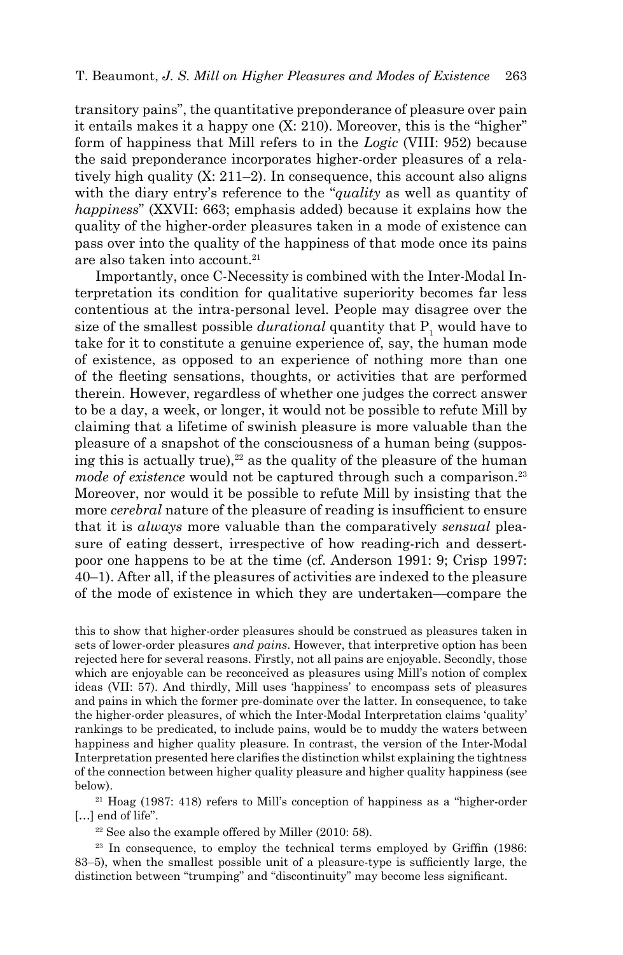transitory pains", the quantitative preponderance of pleasure over pain it entails makes it a happy one (X: 210). Moreover, this is the "higher" form of happiness that Mill refers to in the *Logic* (VIII: 952) because the said preponderance incorporates higher-order pleasures of a relatively high quality (X: 211–2). In consequence, this account also aligns with the diary entry's reference to the "*quality* as well as quantity of *happiness*" ([XXVII: 663](https://oll.libertyfund.org/titles/mill-the-collected-works-of-john-stuart-mill-volume-xxvii-journals-and-debating-speeches-part-ii); emphasis added) because it explains how the quality of the higher-order pleasures taken in a mode of existence can pass over into the quality of the happiness of that mode once its pains are also taken into account.<sup>21</sup>

Importantly, once C-Necessity is combined with the Inter-Modal Interpretation its condition for qualitative superiority becomes far less contentious at the intra-personal level. People may disagree over the size of the smallest possible  $\boldsymbol{durational}$  quantity that  $\boldsymbol{P_1}$  would have to take for it to constitute a genuine experience of, say, the human mode of existence, as opposed to an experience of nothing more than one of the fleeting sensations, thoughts, or activities that are performed therein. However, regardless of whether one judges the correct answer to be a day, a week, or longer, it would not be possible to refute Mill by claiming that a lifetime of swinish pleasure is more valuable than the pleasure of a snapshot of the consciousness of a human being (supposing this is actually true),  $22$  as the quality of the pleasure of the human *mode of existence* would not be captured through such a comparison.<sup>23</sup> Moreover, nor would it be possible to refute Mill by insisting that the more *cerebral* nature of the pleasure of reading is insufficient to ensure that it is *always* more valuable than the comparatively *sensual* pleasure of eating dessert, irrespective of how reading-rich and dessertpoor one happens to be at the time (cf. Anderson 1991: 9; Crisp 1997: 40–1). After all, if the pleasures of activities are indexed to the pleasure of the mode of existence in which they are undertaken—compare the

this to show that higher-order pleasures should be construed as pleasures taken in sets of lower-order pleasures *and pains*. However, that interpretive option has been rejected here for several reasons. Firstly, not all pains are enjoyable. Secondly, those which are enjoyable can be reconceived as pleasures using Mill's notion of complex ideas (VII: 57). And thirdly, Mill uses 'happiness' to encompass sets of pleasures and pains in which the former pre-dominate over the latter. In consequence, to take the higher-order pleasures, of which the Inter-Modal Interpretation claims 'quality' rankings to be predicated, to include pains, would be to muddy the waters between happiness and higher quality pleasure. In contrast, the version of the Inter-Modal Interpretation presented here clarifies the distinction whilst explaining the tightness of the connection between higher quality pleasure and higher quality happiness (see below).

21 Hoag (1987: 418) refers to Mill's conception of happiness as a "higher-order [...] end of life".

22 See also the example offered by Miller (2010: 58).

<sup>23</sup> In consequence, to employ the technical terms employed by Griffin (1986: 83–5), when the smallest possible unit of a pleasure-type is sufficiently large, the distinction between "trumping" and "discontinuity" may become less significant.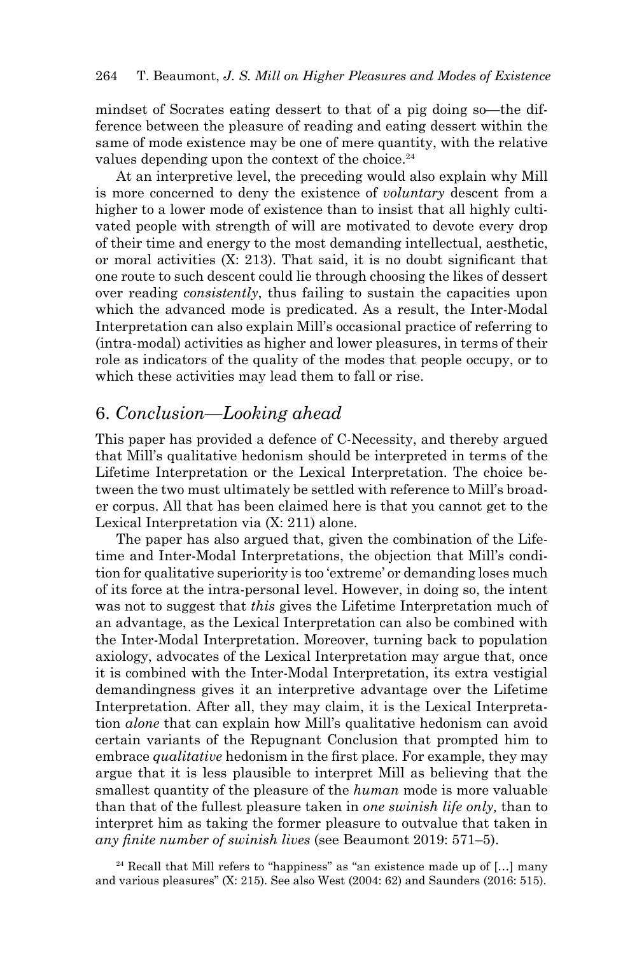mindset of Socrates eating dessert to that of a pig doing so—the difference between the pleasure of reading and eating dessert within the same of mode existence may be one of mere quantity, with the relative values depending upon the context of the choice.<sup>24</sup>

At an interpretive level, the preceding would also explain why Mill is more concerned to deny the existence of *voluntary* descent from a higher to a lower mode of existence than to insist that all highly cultivated people with strength of will are motivated to devote every drop of their time and energy to the most demanding intellectual, aesthetic, or moral activities (X: 213). That said, it is no doubt significant that one route to such descent could lie through choosing the likes of dessert over reading *consistently*, thus failing to sustain the capacities upon which the advanced mode is predicated. As a result, the Inter-Modal Interpretation can also explain Mill's occasional practice of referring to (intra-modal) activities as higher and lower pleasures, in terms of their role as indicators of the quality of the modes that people occupy, or to which these activities may lead them to fall or rise.

# 6. *Conclusion—Looking ahead*

This paper has provided a defence of C-Necessity, and thereby argued that Mill's qualitative hedonism should be interpreted in terms of the Lifetime Interpretation or the Lexical Interpretation. The choice between the two must ultimately be settled with reference to Mill's broader corpus. All that has been claimed here is that you cannot get to the Lexical Interpretation via (X: 211) alone.

The paper has also argued that, given the combination of the Lifetime and Inter-Modal Interpretations, the objection that Mill's condition for qualitative superiority is too 'extreme' or demanding loses much of its force at the intra-personal level. However, in doing so, the intent was not to suggest that *this* gives the Lifetime Interpretation much of an advantage, as the Lexical Interpretation can also be combined with the Inter-Modal Interpretation. Moreover, turning back to population axiology, advocates of the Lexical Interpretation may argue that, once it is combined with the Inter-Modal Interpretation, its extra vestigial demandingness gives it an interpretive advantage over the Lifetime Interpretation. After all, they may claim, it is the Lexical Interpretation *alone* that can explain how Mill's qualitative hedonism can avoid certain variants of the Repugnant Conclusion that prompted him to embrace *qualitative* hedonism in the first place. For example, they may argue that it is less plausible to interpret Mill as believing that the smallest quantity of the pleasure of the *human* mode is more valuable than that of the fullest pleasure taken in *one swinish life only,* than to interpret him as taking the former pleasure to outvalue that taken in *any finite number of swinish lives* (see Beaumont 2019: 571–5).

 $24$  Recall that Mill refers to "happiness" as "an existence made up of [...] many and various pleasures" (X: 215). See also West (2004: 62) and Saunders (2016: 515).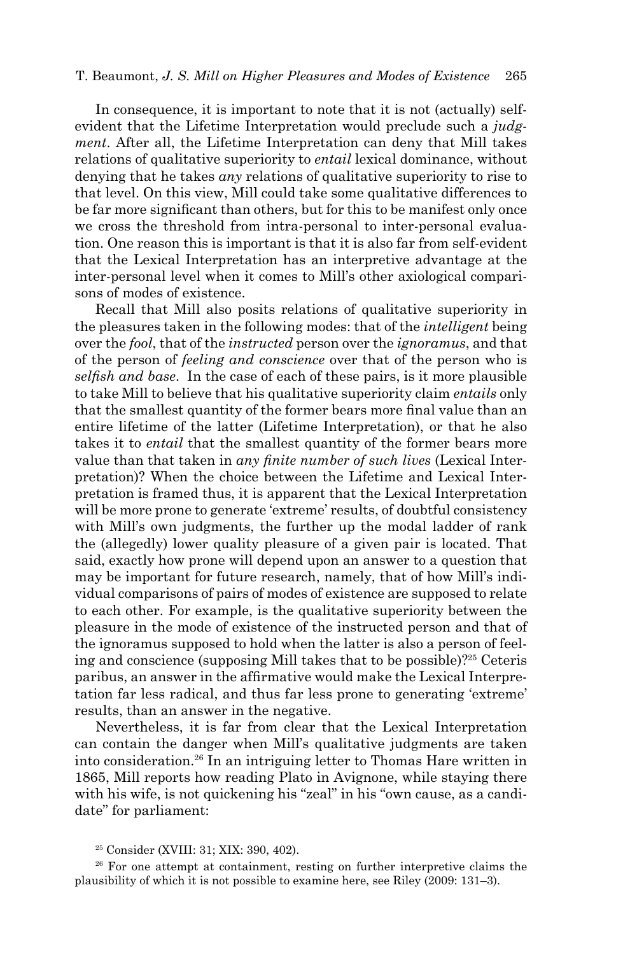In consequence, it is important to note that it is not (actually) selfevident that the Lifetime Interpretation would preclude such a *judgment*. After all, the Lifetime Interpretation can deny that Mill takes relations of qualitative superiority to *entail* lexical dominance, without denying that he takes *any* relations of qualitative superiority to rise to that level. On this view, Mill could take some qualitative differences to be far more significant than others, but for this to be manifest only once we cross the threshold from intra-personal to inter-personal evaluation. One reason this is important is that it is also far from self-evident that the Lexical Interpretation has an interpretive advantage at the inter-personal level when it comes to Mill's other axiological comparisons of modes of existence.

Recall that Mill also posits relations of qualitative superiority in the pleasures taken in the following modes: that of the *intelligent* being over the *fool*, that of the *instructed* person over the *ignoramus*, and that of the person of *feeling and conscience* over that of the person who is *selfish and base*. In the case of each of these pairs, is it more plausible to take Mill to believe that his qualitative superiority claim *entails* only that the smallest quantity of the former bears more final value than an entire lifetime of the latter (Lifetime Interpretation), or that he also takes it to *entail* that the smallest quantity of the former bears more value than that taken in *any finite number of such lives* (Lexical Interpretation)? When the choice between the Lifetime and Lexical Interpretation is framed thus, it is apparent that the Lexical Interpretation will be more prone to generate 'extreme' results, of doubtful consistency with Mill's own judgments, the further up the modal ladder of rank the (allegedly) lower quality pleasure of a given pair is located. That said, exactly how prone will depend upon an answer to a question that may be important for future research, namely, that of how Mill's individual comparisons of pairs of modes of existence are supposed to relate to each other. For example, is the qualitative superiority between the pleasure in the mode of existence of the instructed person and that of the ignoramus supposed to hold when the latter is also a person of feeling and conscience (supposing Mill takes that to be possible)?25 Ceteris paribus, an answer in the affirmative would make the Lexical Interpretation far less radical, and thus far less prone to generating 'extreme' results, than an answer in the negative.

Nevertheless, it is far from clear that the Lexical Interpretation can contain the danger when Mill's qualitative judgments are taken into consideration.26 In an intriguing letter to Thomas Hare written in 1865, Mill reports how reading Plato in Avignone, while staying there with his wife, is not quickening his "zeal" in his "own cause, as a candidate" for parliament:

<sup>26</sup> For one attempt at containment, resting on further interpretive claims the plausibility of which it is not possible to examine here, see Riley (2009: 131–3).

<sup>25</sup> Consider (XVIII: 31; XIX: 390, 402).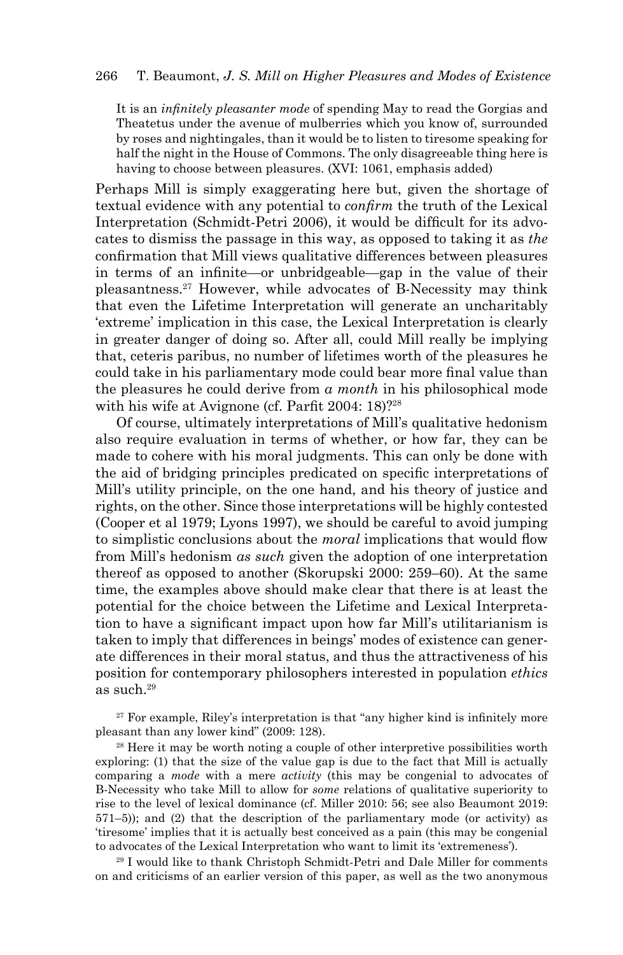It is an *infinitely pleasanter mode* of spending May to read the Gorgias and Theatetus under the avenue of mulberries which you know of, surrounded by roses and nightingales, than it would be to listen to tiresome speaking for half the night in the House of Commons. The only disagreeable thing here is having to choose between pleasures. (XVI: 1061, emphasis added)

Perhaps Mill is simply exaggerating here but, given the shortage of textual evidence with any potential to *confirm* the truth of the Lexical Interpretation (Schmidt-Petri 2006), it would be difficult for its advocates to dismiss the passage in this way, as opposed to taking it as *the* confirmation that Mill views qualitative differences between pleasures in terms of an infinite—or unbridgeable—gap in the value of their pleasantness.27 However, while advocates of B-Necessity may think that even the Lifetime Interpretation will generate an uncharitably 'extreme' implication in this case, the Lexical Interpretation is clearly in greater danger of doing so. After all, could Mill really be implying that, ceteris paribus, no number of lifetimes worth of the pleasures he could take in his parliamentary mode could bear more final value than the pleasures he could derive from *a month* in his philosophical mode with his wife at Avignone (cf. Parfit 2004: 18)?<sup>28</sup>

Of course, ultimately interpretations of Mill's qualitative hedonism also require evaluation in terms of whether, or how far, they can be made to cohere with his moral judgments. This can only be done with the aid of bridging principles predicated on specific interpretations of Mill's utility principle, on the one hand, and his theory of justice and rights, on the other. Since those interpretations will be highly contested (Cooper et al 1979; Lyons 1997), we should be careful to avoid jumping to simplistic conclusions about the *moral* implications that would flow from Mill's hedonism *as such* given the adoption of one interpretation thereof as opposed to another (Skorupski 2000: 259–60). At the same time, the examples above should make clear that there is at least the potential for the choice between the Lifetime and Lexical Interpretation to have a significant impact upon how far Mill's utilitarianism is taken to imply that differences in beings' modes of existence can generate differences in their moral status, and thus the attractiveness of his position for contemporary philosophers interested in population *ethics*  as such.29

<sup>27</sup> For example, Riley's interpretation is that "any higher kind is infinitely more pleasant than any lower kind" (2009: 128).

 $28$  Here it may be worth noting a couple of other interpretive possibilities worth exploring: (1) that the size of the value gap is due to the fact that Mill is actually comparing a *mode* with a mere *activity* (this may be congenial to advocates of B-Necessity who take Mill to allow for *some* relations of qualitative superiority to rise to the level of lexical dominance (cf. Miller 2010: 56; see also Beaumont 2019: 571–5)); and (2) that the description of the parliamentary mode (or activity) as 'tiresome' implies that it is actually best conceived as a pain (this may be congenial to advocates of the Lexical Interpretation who want to limit its 'extremeness').

29 I would like to thank Christoph Schmidt-Petri and Dale Miller for comments on and criticisms of an earlier version of this paper, as well as the two anonymous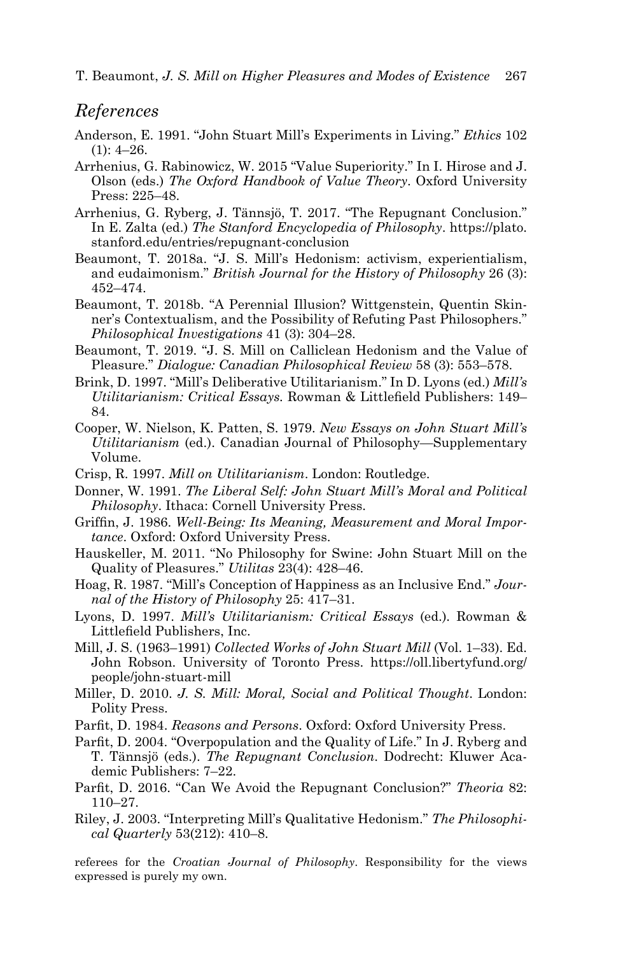266 T. Beaumont, *J. S. Mill on Higher Pleasures and Modes of Existence* T. Beaumont, *J. S. Mill on Higher Pleasures and Modes of Existence* 267

### *References*

- Anderson, E. 1991. "John Stuart Mill's Experiments in Living." *Ethics* 102  $(1): 4-26.$
- Arrhenius, G. Rabinowicz, W. 2015 "Value Superiority." In I. Hirose and J. Olson (eds.) *The Oxford Handbook of Value Theory*. Oxford University Press: 225–48.
- Arrhenius, G. Ryberg, J. Tännsjö, T. 2017. "The Repugnant Conclusion." In E. Zalta (ed.) *The Stanford Encyclopedia of Philosophy*. https://plato. stanford.edu/entries/repugnant-conclusion
- Beaumont, T. 2018a. "J. S. Mill's Hedonism: activism, experientialism, and eudaimonism." *British Journal for the History of Philosophy* 26 (3): 452–474.
- Beaumont, T. 2018b. "A Perennial Illusion? Wittgenstein, Quentin Skinner's Contextualism, and the Possibility of Refuting Past Philosophers." *Philosophical Investigations* 41 (3): 304–28.
- Beaumont, T. 2019. "J. S. Mill on Calliclean Hedonism and the Value of Pleasure." *Dialogue: Canadian Philosophical Review* 58 (3): 553–578.
- Brink, D. 1997. "Mill's Deliberative Utilitarianism." In D. Lyons (ed.) *Mill's Utilitarianism: Critical Essays.* Rowman & Littlefield Publishers: 149– 84.
- Cooper, W. Nielson, K. Patten, S. 1979. *New Essays on John Stuart Mill's Utilitarianism* (ed.). Canadian Journal of Philosophy—Supplementary Volume.
- Crisp, R. 1997. *Mill on Utilitarianism*. London: Routledge.
- Donner, W. 1991. *The Liberal Self: John Stuart Mill's Moral and Political Philosophy*. Ithaca: Cornell University Press.
- Griffin, J. 1986. *Well-Being: Its Meaning, Measurement and Moral Importance*. Oxford: Oxford University Press.
- Hauskeller, M. 2011. "No Philosophy for Swine: John Stuart Mill on the Quality of Pleasures." *Utilitas* 23(4): 428–46.
- Hoag, R. 1987. "Mill's Conception of Happiness as an Inclusive End." *Journal of the History of Philosophy* 25: 417–31.
- Lyons, D. 1997. *Mill's Utilitarianism: Critical Essays* (ed.)*.* Rowman & Littlefield Publishers, Inc.
- Mill, J. S. (1963–1991) *Collected Works of John Stuart Mill* (Vol. 1–33). Ed. John Robson. University of Toronto Press. [https://oll.libertyfund.org/](https://oll.libertyfund.org/people/john-stuart-mill) [people/john-stuart-mill](https://oll.libertyfund.org/people/john-stuart-mill)
- Miller, D. 2010. *J. S. Mill: Moral, Social and Political Thought*. London: Polity Press.
- Parfit, D. 1984. *Reasons and Persons*. Oxford: Oxford University Press.
- Parfit, D. 2004. "Overpopulation and the Quality of Life." In J. Ryberg and T. Tännsjö (eds.). *The Repugnant Conclusion*. Dodrecht: Kluwer Academic Publishers: 7–22.
- Parfit, D. 2016. "Can We Avoid the Repugnant Conclusion?" *Theoria* 82: 110–27.
- Riley, J. 2003. "Interpreting Mill's Qualitative Hedonism." *The Philosophical Quarterly* 53(212): 410–8.

referees for the *Croatian Journal of Philosophy*. Responsibility for the views expressed is purely my own.